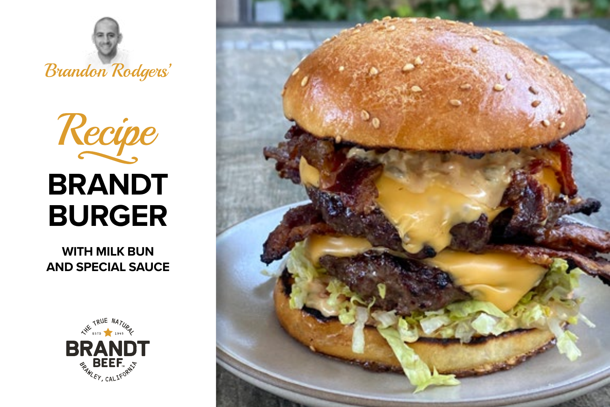

# Recipe **BRANDT BURGER**

**WITH MILK BUN AND SPECIAL SAUCE**



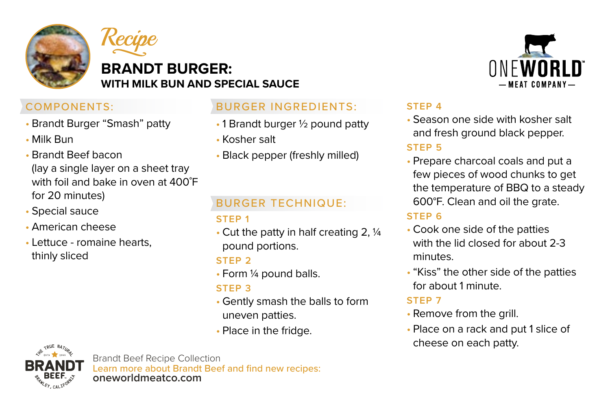



# **BRANDT BURGER: WITH MILK BUN AND SPECIAL SAUCE**

# COMPONENTS:

- Brandt Burger "Smash" patty
- Milk Bun
- Brandt Beef bacon (lay a single layer on a sheet tray with foil and bake in oven at 400˚F for 20 minutes)
- Special sauce
- American cheese
- Lettuce romaine hearts, thinly sliced

# BURGER INGREDIENTS:

- 1 Brandt burger 1/2 pound patty
- Kosher salt
- Black pepper (freshly milled)

# BURGER TECHNIQUE:

#### **STEP 1**

• Cut the patty in half creating 2, ¼ pound portions.

#### **STEP 2**

• Form ¼ pound balls.

#### **STEP 3**

- Gently smash the balls to form uneven patties.
- Place in the fridge.

# **ONFWORLD** — MEAT COMPANY —

# **STEP 4**

- Season one side with kosher salt and fresh ground black pepper. **STEP 5**
- Prepare charcoal coals and put a few pieces of wood chunks to get the temperature of BBQ to a steady 600°F. Clean and oil the grate.

# **STEP 6**

- Cook one side of the patties with the lid closed for about 2-3 minutes.
- "Kiss" the other side of the patties for about 1 minute.

#### **STEP 7**

- Remove from the grill.
- Place on a rack and put 1 slice of cheese on each patty.



Brandt Beef Recipe Collection Learn more about Brandt Beef and find new recipes: **oneworldmeatco.com**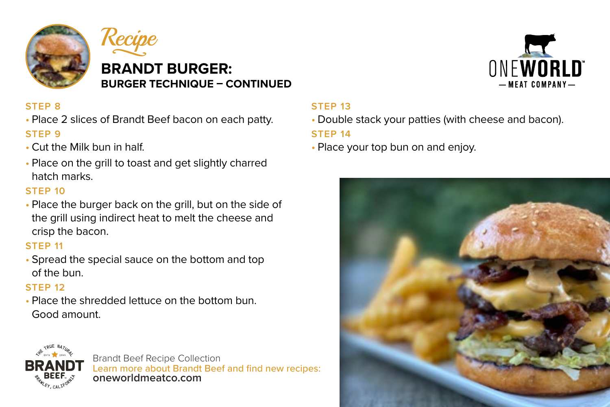



# **BRANDT BURGER: BURGER TECHNIQUE – CONTINUED**

# **STEP 8**

- Place 2 slices of Brandt Beef bacon on each patty. **STEP 9**
- Cut the Milk bun in half.
- Place on the grill to toast and get slightly charred hatch marks.

# **STEP 10**

• Place the burger back on the grill, but on the side of the grill using indirect heat to melt the cheese and crisp the bacon.

#### **STEP 11**

• Spread the special sauce on the bottom and top of the bun.

# **STEP 12**

• Place the shredded lettuce on the bottom bun. Good amount.



Brandt Beef Recipe Collection Learn more about Brandt Beef and find new recipes: **oneworldmeatco.com**



# **STEP 13**

• Double stack your patties (with cheese and bacon).

# **STEP 14**

• Place your top bun on and enjoy.

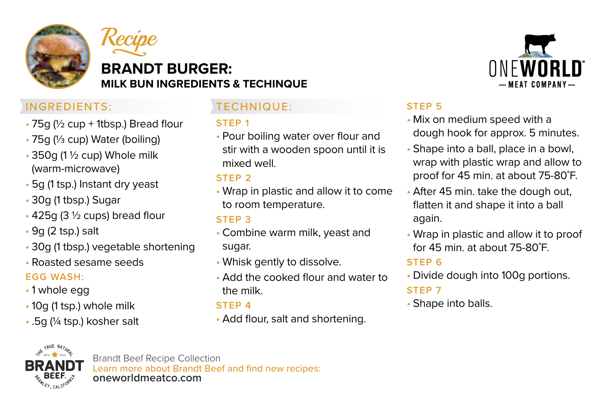



# **BRANDT BURGER: MILK BUN INGREDIENTS & TECHINQUE**

# INGREDIENTS:

- 75g (½ cup + 1tbsp.) Bread flour
- 75g (⅓ cup) Water (boiling)
- 350g (1 ½ cup) Whole milk (warm-microwave)
- 5g (1 tsp.) Instant dry yeast
- 30g (1 tbsp.) Sugar
- 425g (3 ½ cups) bread flour
- 9g (2 tsp.) salt
- 30g (1 tbsp.) vegetable shortening
- Roasted sesame seeds

# **EGG WASH:**

- 1 whole egg
- 10g (1 tsp.) whole milk
- .5g (¼ tsp.) kosher salt

# TECHNIQUE:

# **STEP 1**

• Pour boiling water over flour and stir with a wooden spoon until it is mixed well.

# **STEP 2**

• Wrap in plastic and allow it to come to room temperature.

# **STEP 3**

- Combine warm milk, yeast and sugar.
- Whisk gently to dissolve.
- Add the cooked flour and water to the milk.

# **STEP 4**

• Add flour, salt and shortening.



# **STEP 5**

- Mix on medium speed with a dough hook for approx. 5 minutes.
- Shape into a ball, place in a bowl, wrap with plastic wrap and allow to proof for 45 min. at about 75-80˚F.
- After 45 min. take the dough out, flatten it and shape it into a ball again.
- Wrap in plastic and allow it to proof for 45 min. at about 75-80˚F.

# **STEP 6**

• Divide dough into 100g portions.

# **STEP 7**

• Shape into balls.



Brandt Beef Recipe Collection Learn more about Brandt Beef and find new recipes: **oneworldmeatco.com**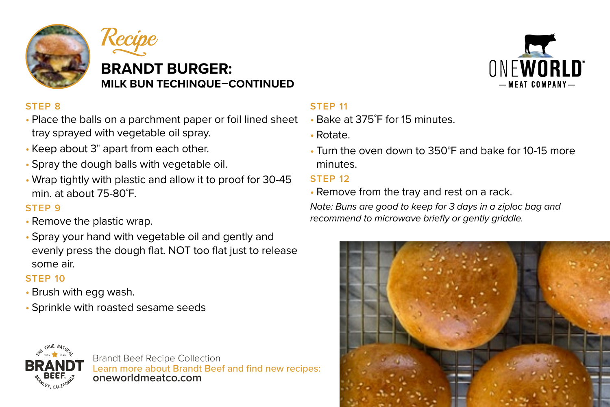



# **BRANDT BURGER: MILK BUN TECHINQUE–CONTINUED**

# **STEP 8**

- Place the balls on a parchment paper or foil lined sheet tray sprayed with vegetable oil spray.
- Keep about 3" apart from each other.
- Spray the dough balls with vegetable oil.
- Wrap tightly with plastic and allow it to proof for 30-45 min. at about 75-80˚F.

#### **STEP 9**

- Remove the plastic wrap.
- Spray your hand with vegetable oil and gently and evenly press the dough flat. NOT too flat just to release some air.

#### **STEP 10**

- Brush with egg wash.
- Sprinkle with roasted sesame seeds



#### **STEP 11**

- Bake at 375˚F for 15 minutes.
- Rotate.
- Turn the oven down to 350°F and bake for 10-15 more minutes.

#### **STEP 12**

• Remove from the tray and rest on a rack.

*Note: Buns are good to keep for 3 days in a ziploc bag and recommend to microwave briefly or gently griddle.*